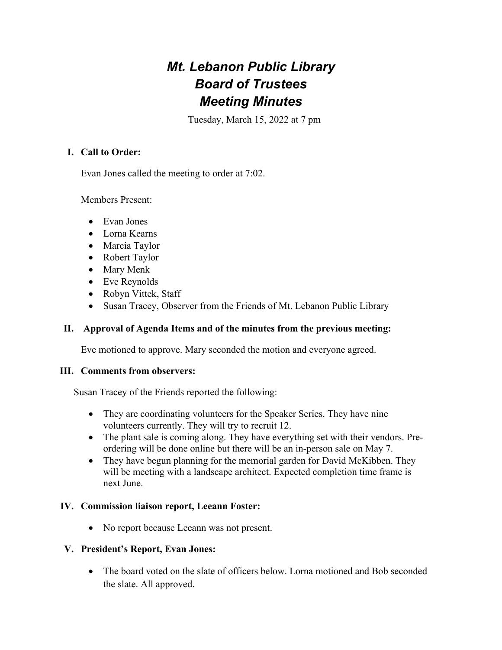# *Mt. Lebanon Public Library Board of Trustees Meeting Minutes*

Tuesday, March 15, 2022 at 7 pm

## **I. Call to Order:**

Evan Jones called the meeting to order at 7:02.

Members Present:

- Evan Jones
- Lorna Kearns
- Marcia Taylor
- Robert Taylor
- Mary Menk
- Eve Reynolds
- Robyn Vittek, Staff
- Susan Tracey, Observer from the Friends of Mt. Lebanon Public Library

#### **II. Approval of Agenda Items and of the minutes from the previous meeting:**

Eve motioned to approve. Mary seconded the motion and everyone agreed.

#### **III. Comments from observers:**

Susan Tracey of the Friends reported the following:

- They are coordinating volunteers for the Speaker Series. They have nine volunteers currently. They will try to recruit 12.
- The plant sale is coming along. They have everything set with their vendors. Preordering will be done online but there will be an in-person sale on May 7.
- They have begun planning for the memorial garden for David McKibben. They will be meeting with a landscape architect. Expected completion time frame is next June.

#### **IV. Commission liaison report, Leeann Foster:**

• No report because Leeann was not present.

#### **V. President's Report, Evan Jones:**

• The board voted on the slate of officers below. Lorna motioned and Bob seconded the slate. All approved.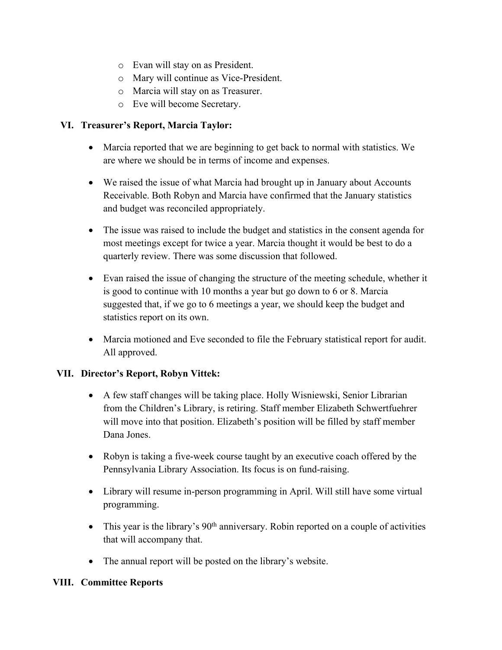- o Evan will stay on as President.
- o Mary will continue as Vice-President.
- o Marcia will stay on as Treasurer.
- o Eve will become Secretary.

## **VI. Treasurer's Report, Marcia Taylor:**

- Marcia reported that we are beginning to get back to normal with statistics. We are where we should be in terms of income and expenses.
- We raised the issue of what Marcia had brought up in January about Accounts Receivable. Both Robyn and Marcia have confirmed that the January statistics and budget was reconciled appropriately.
- The issue was raised to include the budget and statistics in the consent agenda for most meetings except for twice a year. Marcia thought it would be best to do a quarterly review. There was some discussion that followed.
- Evan raised the issue of changing the structure of the meeting schedule, whether it is good to continue with 10 months a year but go down to 6 or 8. Marcia suggested that, if we go to 6 meetings a year, we should keep the budget and statistics report on its own.
- Marcia motioned and Eve seconded to file the February statistical report for audit. All approved.

#### **VII. Director's Report, Robyn Vittek:**

- A few staff changes will be taking place. Holly Wisniewski, Senior Librarian from the Children's Library, is retiring. Staff member Elizabeth Schwertfuehrer will move into that position. Elizabeth's position will be filled by staff member Dana Jones.
- Robyn is taking a five-week course taught by an executive coach offered by the Pennsylvania Library Association. Its focus is on fund-raising.
- Library will resume in-person programming in April. Will still have some virtual programming.
- $\bullet$  This year is the library's 90<sup>th</sup> anniversary. Robin reported on a couple of activities that will accompany that.
- The annual report will be posted on the library's website.

#### **VIII. Committee Reports**